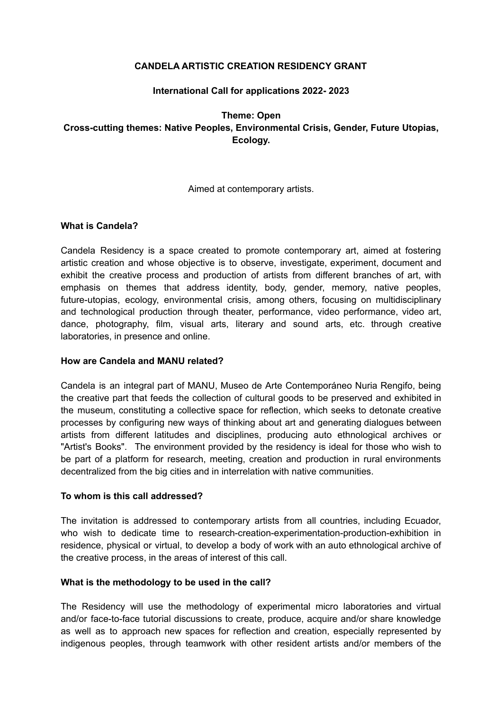### **CANDELA ARTISTIC CREATION RESIDENCY GRANT**

## **International Call for applications 2022- 2023**

# **Theme: Open Cross-cutting themes: Native Peoples, Environmental Crisis, Gender, Future Utopias, Ecology.**

#### Aimed at contemporary artists.

#### **What is Candela?**

Candela Residency is a space created to promote contemporary art, aimed at fostering artistic creation and whose objective is to observe, investigate, experiment, document and exhibit the creative process and production of artists from different branches of art, with emphasis on themes that address identity, body, gender, memory, native peoples, future-utopias, ecology, environmental crisis, among others, focusing on multidisciplinary and technological production through theater, performance, video performance, video art, dance, photography, film, visual arts, literary and sound arts, etc. through creative laboratories, in presence and online.

#### **How are Candela and MANU related?**

Candela is an integral part of MANU, Museo de Arte Contemporáneo Nuria Rengifo, being the creative part that feeds the collection of cultural goods to be preserved and exhibited in the museum, constituting a collective space for reflection, which seeks to detonate creative processes by configuring new ways of thinking about art and generating dialogues between artists from different latitudes and disciplines, producing auto ethnological archives or "Artist's Books". The environment provided by the residency is ideal for those who wish to be part of a platform for research, meeting, creation and production in rural environments decentralized from the big cities and in interrelation with native communities.

#### **To whom is this call addressed?**

The invitation is addressed to contemporary artists from all countries, including Ecuador, who wish to dedicate time to research-creation-experimentation-production-exhibition in residence, physical or virtual, to develop a body of work with an auto ethnological archive of the creative process, in the areas of interest of this call.

#### **What is the methodology to be used in the call?**

The Residency will use the methodology of experimental micro laboratories and virtual and/or face-to-face tutorial discussions to create, produce, acquire and/or share knowledge as well as to approach new spaces for reflection and creation, especially represented by indigenous peoples, through teamwork with other resident artists and/or members of the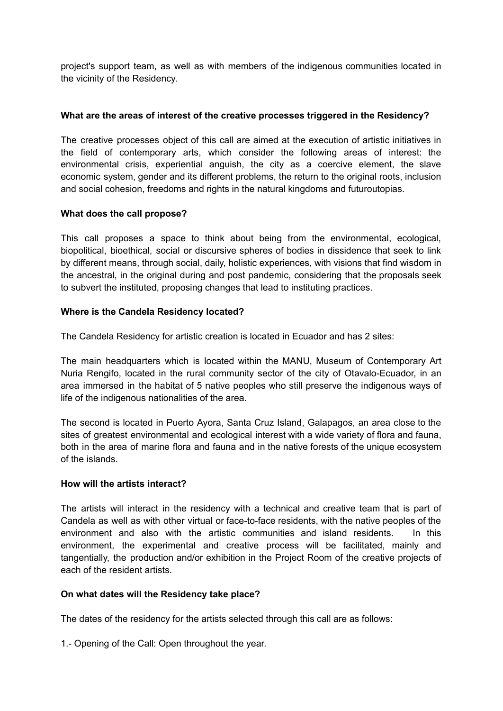project's support team, as well as with members of the indigenous communities located in the vicinity of the Residency.

## **What are the areas of interest of the creative processes triggered in the Residency?**

The creative processes object of this call are aimed at the execution of artistic initiatives in the field of contemporary arts, which consider the following areas of interest: the environmental crisis, experiential anguish, the city as a coercive element, the slave economic system, gender and its different problems, the return to the original roots, inclusion and social cohesion, freedoms and rights in the natural kingdoms and futuroutopias.

## **What does the call propose?**

This call proposes a space to think about being from the environmental, ecological, biopolitical, bioethical, social or discursive spheres of bodies in dissidence that seek to link by different means, through social, daily, holistic experiences, with visions that find wisdom in the ancestral, in the original during and post pandemic, considering that the proposals seek to subvert the instituted, proposing changes that lead to instituting practices.

## **Where is the Candela Residency located?**

The Candela Residency for artistic creation is located in Ecuador and has 2 sites:

The main headquarters which is located within the MANU, Museum of Contemporary Art Nuria Rengifo, located in the rural community sector of the city of Otavalo-Ecuador, in an area immersed in the habitat of 5 native peoples who still preserve the indigenous ways of life of the indigenous nationalities of the area.

The second is located in Puerto Ayora, Santa Cruz Island, Galapagos, an area close to the sites of greatest environmental and ecological interest with a wide variety of flora and fauna, both in the area of marine flora and fauna and in the native forests of the unique ecosystem of the islands.

#### **How will the artists interact?**

The artists will interact in the residency with a technical and creative team that is part of Candela as well as with other virtual or face-to-face residents, with the native peoples of the environment and also with the artistic communities and island residents. In this environment, the experimental and creative process will be facilitated, mainly and tangentially, the production and/or exhibition in the Project Room of the creative projects of each of the resident artists.

#### **On what dates will the Residency take place?**

The dates of the residency for the artists selected through this call are as follows:

1.- Opening of the Call: Open throughout the year.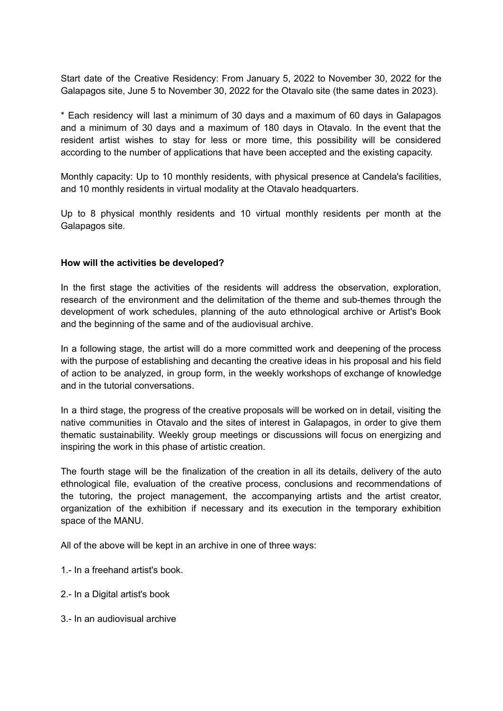Start date of the Creative Residency: From January 5, 2022 to November 30, 2022 for the Galapagos site, June 5 to November 30, 2022 for the Otavalo site (the same dates in 2023).

\* Each residency will last a minimum of 30 days and a maximum of 60 days in Galapagos and a minimum of 30 days and a maximum of 180 days in Otavalo. In the event that the resident artist wishes to stay for less or more time, this possibility will be considered according to the number of applications that have been accepted and the existing capacity.

Monthly capacity: Up to 10 monthly residents, with physical presence at Candela's facilities, and 10 monthly residents in virtual modality at the Otavalo headquarters.

Up to 8 physical monthly residents and 10 virtual monthly residents per month at the Galapagos site.

#### **How will the activities be developed?**

In the first stage the activities of the residents will address the observation, exploration, research of the environment and the delimitation of the theme and sub-themes through the development of work schedules, planning of the auto ethnological archive or Artist's Book and the beginning of the same and of the audiovisual archive.

In a following stage, the artist will do a more committed work and deepening of the process with the purpose of establishing and decanting the creative ideas in his proposal and his field of action to be analyzed, in group form, in the weekly workshops of exchange of knowledge and in the tutorial conversations.

In a third stage, the progress of the creative proposals will be worked on in detail, visiting the native communities in Otavalo and the sites of interest in Galapagos, in order to give them thematic sustainability. Weekly group meetings or discussions will focus on energizing and inspiring the work in this phase of artistic creation.

The fourth stage will be the finalization of the creation in all its details, delivery of the auto ethnological file, evaluation of the creative process, conclusions and recommendations of the tutoring, the project management, the accompanying artists and the artist creator, organization of the exhibition if necessary and its execution in the temporary exhibition space of the MANU.

All of the above will be kept in an archive in one of three ways:

- 1.- In a freehand artist's book.
- 2.- In a Digital artist's book
- 3.- In an audiovisual archive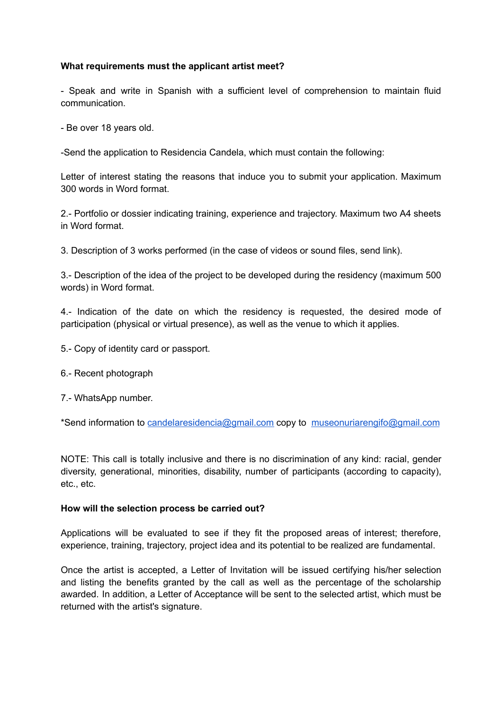#### **What requirements must the applicant artist meet?**

- Speak and write in Spanish with a sufficient level of comprehension to maintain fluid communication.

- Be over 18 years old.

-Send the application to Residencia Candela, which must contain the following:

Letter of interest stating the reasons that induce you to submit your application. Maximum 300 words in Word format.

2.- Portfolio or dossier indicating training, experience and trajectory. Maximum two A4 sheets in Word format.

3. Description of 3 works performed (in the case of videos or sound files, send link).

3.- Description of the idea of the project to be developed during the residency (maximum 500 words) in Word format.

4.- Indication of the date on which the residency is requested, the desired mode of participation (physical or virtual presence), as well as the venue to which it applies.

- 5.- Copy of identity card or passport.
- 6.- Recent photograph
- 7.- WhatsApp number.

\*Send information to [candelaresidencia@gmail.com](mailto:candelaresidencia@gmail.com) copy to [museonuriarengifo@gmail.com](mailto:museonuriarengifo@gmail.com)

NOTE: This call is totally inclusive and there is no discrimination of any kind: racial, gender diversity, generational, minorities, disability, number of participants (according to capacity), etc., etc.

#### **How will the selection process be carried out?**

Applications will be evaluated to see if they fit the proposed areas of interest; therefore, experience, training, trajectory, project idea and its potential to be realized are fundamental.

Once the artist is accepted, a Letter of Invitation will be issued certifying his/her selection and listing the benefits granted by the call as well as the percentage of the scholarship awarded. In addition, a Letter of Acceptance will be sent to the selected artist, which must be returned with the artist's signature.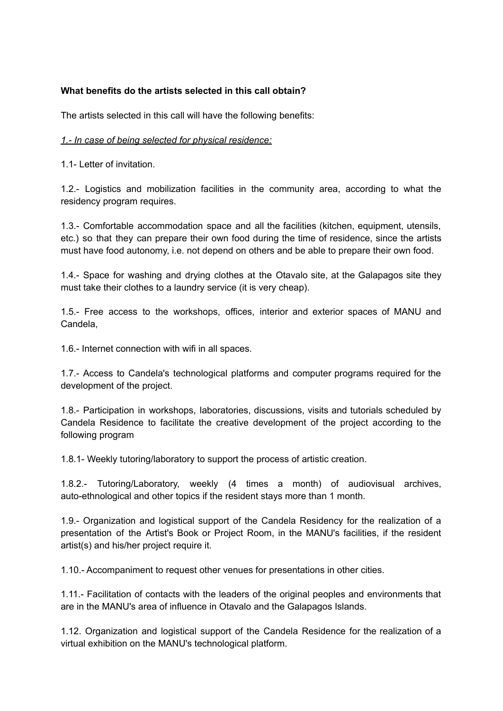## **What benefits do the artists selected in this call obtain?**

The artists selected in this call will have the following benefits:

### *1.- In case of being selected for physical residence:*

1.1- Letter of invitation.

1.2.- Logistics and mobilization facilities in the community area, according to what the residency program requires.

1.3.- Comfortable accommodation space and all the facilities (kitchen, equipment, utensils, etc.) so that they can prepare their own food during the time of residence, since the artists must have food autonomy, i.e. not depend on others and be able to prepare their own food.

1.4.- Space for washing and drying clothes at the Otavalo site, at the Galapagos site they must take their clothes to a laundry service (it is very cheap).

1.5.- Free access to the workshops, offices, interior and exterior spaces of MANU and Candela,

1.6.- Internet connection with wifi in all spaces.

1.7.- Access to Candela's technological platforms and computer programs required for the development of the project.

1.8.- Participation in workshops, laboratories, discussions, visits and tutorials scheduled by Candela Residence to facilitate the creative development of the project according to the following program

1.8.1- Weekly tutoring/laboratory to support the process of artistic creation.

1.8.2.- Tutoring/Laboratory, weekly (4 times a month) of audiovisual archives, auto-ethnological and other topics if the resident stays more than 1 month.

1.9.- Organization and logistical support of the Candela Residency for the realization of a presentation of the Artist's Book or Project Room, in the MANU's facilities, if the resident artist(s) and his/her project require it.

1.10.- Accompaniment to request other venues for presentations in other cities.

1.11.- Facilitation of contacts with the leaders of the original peoples and environments that are in the MANU's area of influence in Otavalo and the Galapagos Islands.

1.12. Organization and logistical support of the Candela Residence for the realization of a virtual exhibition on the MANU's technological platform.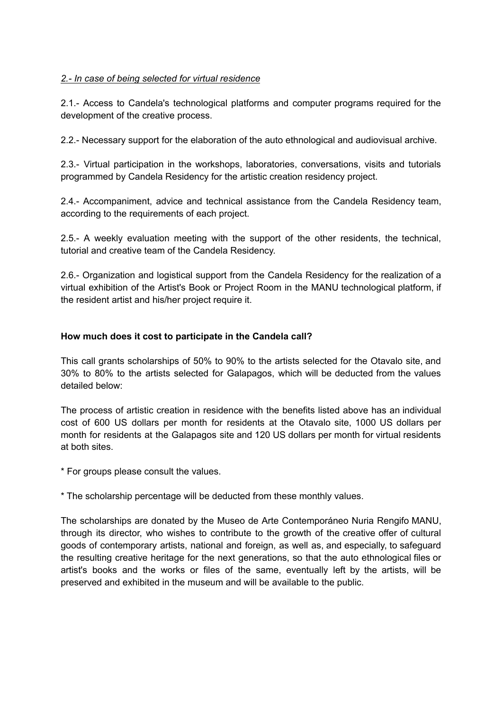## *2.- In case of being selected for virtual residence*

2.1.- Access to Candela's technological platforms and computer programs required for the development of the creative process.

2.2.- Necessary support for the elaboration of the auto ethnological and audiovisual archive.

2.3.- Virtual participation in the workshops, laboratories, conversations, visits and tutorials programmed by Candela Residency for the artistic creation residency project.

2.4.- Accompaniment, advice and technical assistance from the Candela Residency team, according to the requirements of each project.

2.5.- A weekly evaluation meeting with the support of the other residents, the technical, tutorial and creative team of the Candela Residency.

2.6.- Organization and logistical support from the Candela Residency for the realization of a virtual exhibition of the Artist's Book or Project Room in the MANU technological platform, if the resident artist and his/her project require it.

#### **How much does it cost to participate in the Candela call?**

This call grants scholarships of 50% to 90% to the artists selected for the Otavalo site, and 30% to 80% to the artists selected for Galapagos, which will be deducted from the values detailed below:

The process of artistic creation in residence with the benefits listed above has an individual cost of 600 US dollars per month for residents at the Otavalo site, 1000 US dollars per month for residents at the Galapagos site and 120 US dollars per month for virtual residents at both sites.

\* For groups please consult the values.

\* The scholarship percentage will be deducted from these monthly values.

The scholarships are donated by the Museo de Arte Contemporáneo Nuria Rengifo MANU, through its director, who wishes to contribute to the growth of the creative offer of cultural goods of contemporary artists, national and foreign, as well as, and especially, to safeguard the resulting creative heritage for the next generations, so that the auto ethnological files or artist's books and the works or files of the same, eventually left by the artists, will be preserved and exhibited in the museum and will be available to the public.